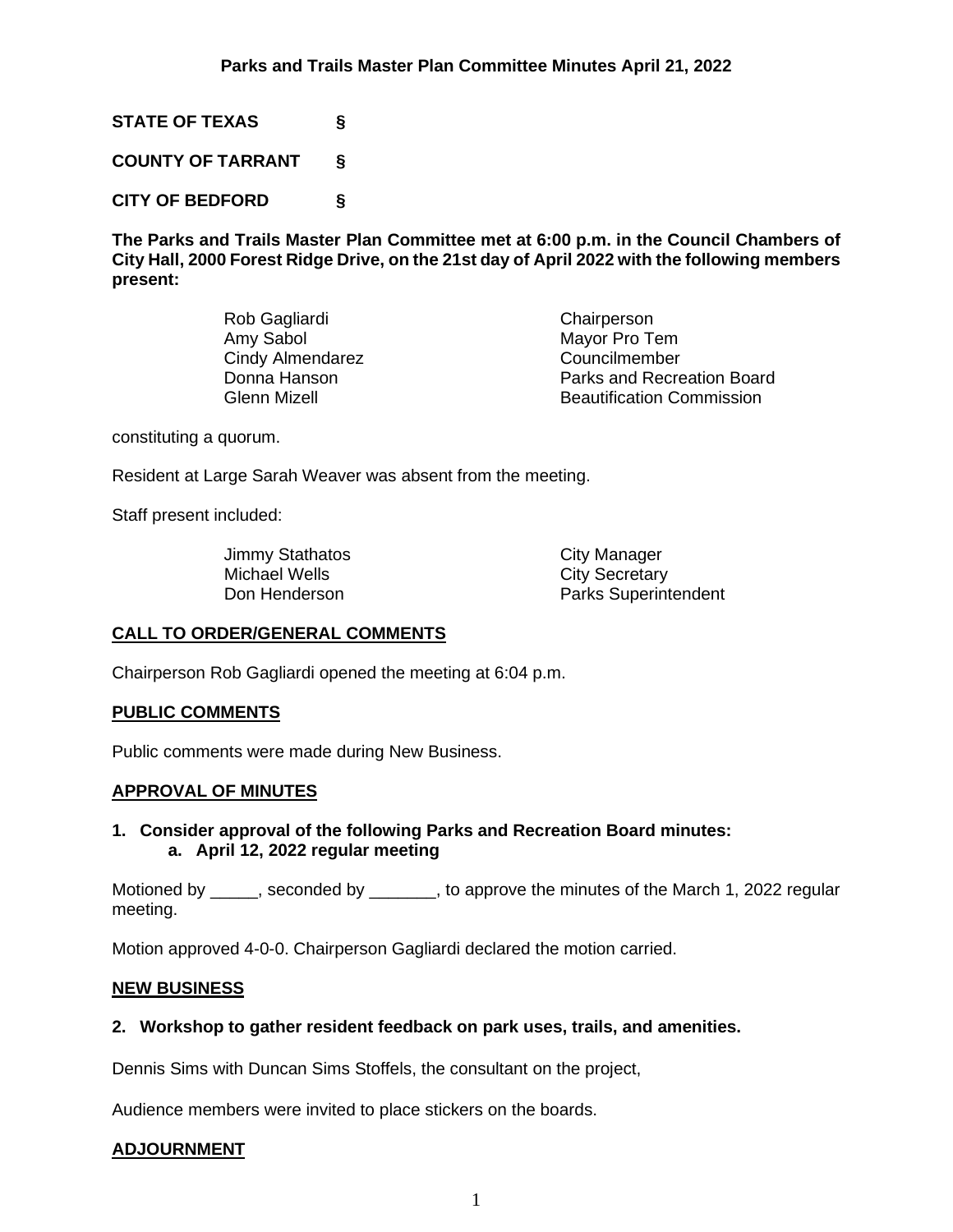**STATE OF TEXAS §**

**COUNTY OF TARRANT §**

**CITY OF BEDFORD §**

**The Parks and Trails Master Plan Committee met at 6:00 p.m. in the Council Chambers of City Hall, 2000 Forest Ridge Drive, on the 21st day of April 2022 with the following members present:**

| Rob Gagliardi    | Chairperson                      |
|------------------|----------------------------------|
| Amy Sabol        | Mayor Pro Tem                    |
| Cindy Almendarez | Councilmember                    |
| Donna Hanson     | Parks and Recreation Board       |
| Glenn Mizell     | <b>Beautification Commission</b> |
|                  |                                  |

constituting a quorum.

Resident at Large Sarah Weaver was absent from the meeting.

Staff present included:

Jimmy Stathatos City Manager<br>
Michael Wells City Secretary Michael Wells **City Secretary**<br>
Don Henderson **City Secretary** 

Parks Superintendent

## **CALL TO ORDER/GENERAL COMMENTS**

Chairperson Rob Gagliardi opened the meeting at 6:04 p.m.

### **PUBLIC COMMENTS**

Public comments were made during New Business.

## **APPROVAL OF MINUTES**

## **1. Consider approval of the following Parks and Recreation Board minutes: a. April 12, 2022 regular meeting**

Motioned by \_\_\_\_\_, seconded by \_\_\_\_\_\_, to approve the minutes of the March 1, 2022 regular meeting.

Motion approved 4-0-0. Chairperson Gagliardi declared the motion carried.

## **NEW BUSINESS**

## **2. Workshop to gather resident feedback on park uses, trails, and amenities.**

Dennis Sims with Duncan Sims Stoffels, the consultant on the project,

Audience members were invited to place stickers on the boards.

## **ADJOURNMENT**